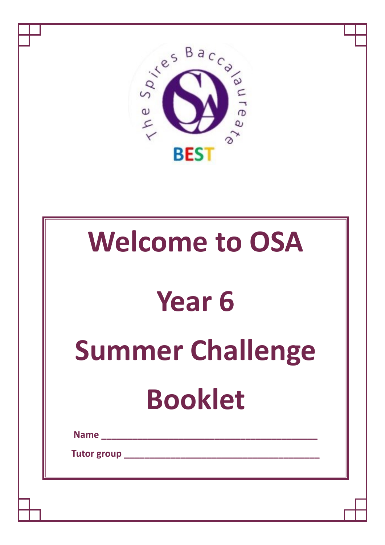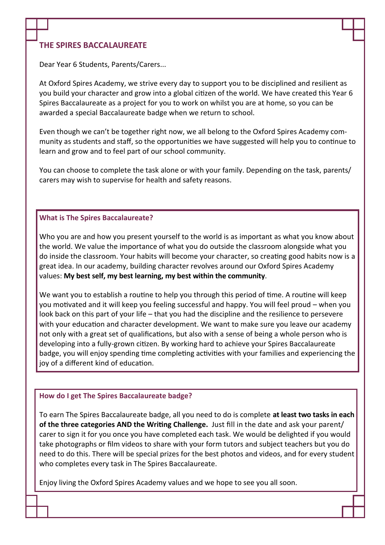## **THE SPIRES BACCALAUREATE**

Dear Year 6 Students, Parents/Carers...

At Oxford Spires Academy, we strive every day to support you to be disciplined and resilient as you build your character and grow into a global citizen of the world. We have created this Year 6 Spires Baccalaureate as a project for you to work on whilst you are at home, so you can be awarded a special Baccalaureate badge when we return to school.

Even though we can't be together right now, we all belong to the Oxford Spires Academy community as students and staff, so the opportunities we have suggested will help you to continue to learn and grow and to feel part of our school community.

You can choose to complete the task alone or with your family. Depending on the task, parents/ carers may wish to supervise for health and safety reasons.

#### **What is The Spires Baccalaureate?**

Who you are and how you present yourself to the world is as important as what you know about the world. We value the importance of what you do outside the classroom alongside what you do inside the classroom. Your habits will become your character, so creating good habits now is a great idea. In our academy, building character revolves around our Oxford Spires Academy values: **My best self, my best learning, my best within the community**.

We want you to establish a routine to help you through this period of time. A routine will keep you motivated and it will keep you feeling successful and happy. You will feel proud – when you look back on this part of your life – that you had the discipline and the resilience to persevere with your education and character development. We want to make sure you leave our academy not only with a great set of qualifications, but also with a sense of being a whole person who is developing into a fully-grown citizen. By working hard to achieve your Spires Baccalaureate badge, you will enjoy spending time completing activities with your families and experiencing the joy of a different kind of education.

#### **How do I get The Spires Baccalaureate badge?**

To earn The Spires Baccalaureate badge, all you need to do is complete **at least two tasks in each of the three categories AND the Writing Challenge.** Just fill in the date and ask your parent/ carer to sign it for you once you have completed each task. We would be delighted if you would take photographs or film videos to share with your form tutors and subject teachers but you do need to do this. There will be special prizes for the best photos and videos, and for every student who completes every task in The Spires Baccalaureate.

Enjoy living the Oxford Spires Academy values and we hope to see you all soon.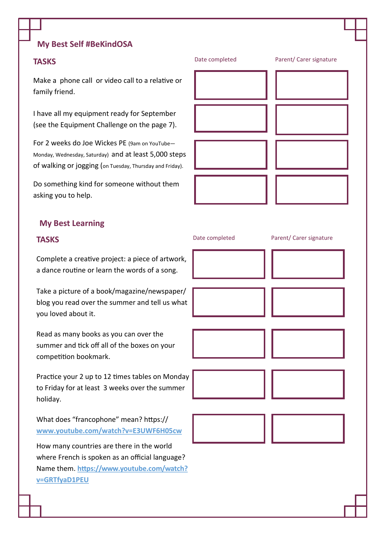### **My Best Self #BeKindOSA**

Make a phone call or video call to a relative or family friend.

I have all my equipment ready for September (see the Equipment Challenge on the page 7).

For 2 weeks do Joe Wickes PE (9am on YouTube— Monday, Wednesday, Saturday) and at least 5,000 steps of walking or jogging (on Tuesday, Thursday and Friday).

Do something kind for someone without them asking you to help.

### **My Best Learning**

Complete a creative project: a piece of artwork, a dance routine or learn the words of a song.

Take a picture of a book/magazine/newspaper/ blog you read over the summer and tell us what you loved about it.

Read as many books as you can over the summer and tick off all of the boxes on your competition bookmark.

Practice your 2 up to 12 times tables on Monday to Friday for at least 3 weeks over the summer holiday.

What does "francophone" mean? https:// **www.youtube.com/watch?v=E3UWF6H05cw** 

How many countries are there in the world where French is spoken as an official language? Name them. **https://www.youtube.com/watch? v=GRTfyaD1PEU** 

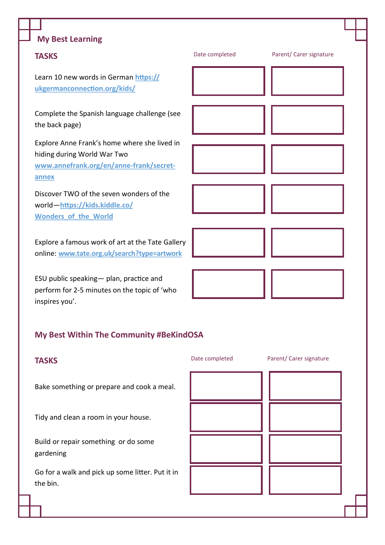# **My Best Learning**

# **TASKS** Parent/ Carer signature **TASKS** Parent/ Carer signature Learn 10 new words in German **https:// ukgermanconnection.org/kids/** Complete the Spanish language challenge (see the back page) Explore Anne Frank's home where she lived in hiding during World War Two **www.annefrank.org/en/anne-frank/secretannex** Discover TWO of the seven wonders of the world—**https://kids.kiddle.co/ Wonders\_of\_the\_World**  Explore a famous work of art at the Tate Gallery online: **www.tate.org.uk/search?type=artwork**  ESU public speaking— plan, practice and

perform for 2-5 minutes on the topic of 'who inspires you'.

# **My Best Within The Community #BeKindOSA**

Bake something or prepare and cook a meal.

Tidy and clean a room in your house.

Build or repair something or do some gardening

Go for a walk and pick up some litter. Put it in the bin.

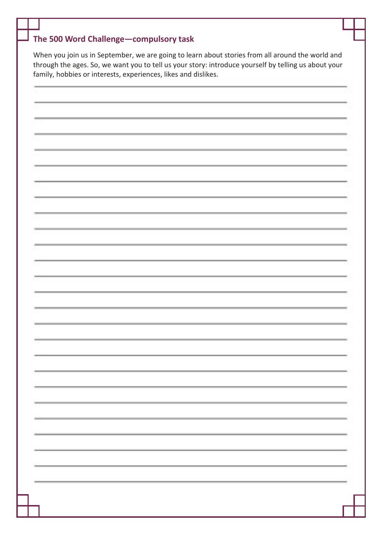# **The 500 Word Challenge—compulsory task**

When you join us in September, we are going to learn about stories from all around the world and through the ages. So, we want you to tell us your story: introduce yourself by telling us about your

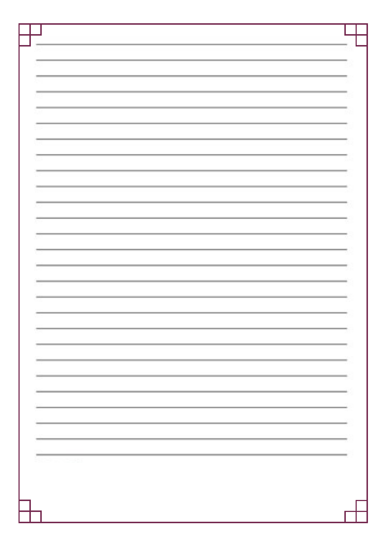| 1000 - 1000 - 1000 - 1000 - 1000 - 1000 - 1000 - 1000 - 1000 - 1000 - 1000 - 1000 - 1000 - 1000 - 1000 - 1000<br>1000 - 1000 - 1000 - 1000 - 1000 - 1000 - 1000 - 1000 - 1000 - 1000 - 1000 - 1000 - 1000 - 1000 - 1000 - 1000 |  |
|--------------------------------------------------------------------------------------------------------------------------------------------------------------------------------------------------------------------------------|--|
| the control of the control of the control of the control of the control of the control of the control of the control of the control of the control of the control of the control of the control of the control of the control  |  |
|                                                                                                                                                                                                                                |  |
|                                                                                                                                                                                                                                |  |
|                                                                                                                                                                                                                                |  |
|                                                                                                                                                                                                                                |  |
| 31 - 123 1                                                                                                                                                                                                                     |  |
|                                                                                                                                                                                                                                |  |
|                                                                                                                                                                                                                                |  |
|                                                                                                                                                                                                                                |  |
|                                                                                                                                                                                                                                |  |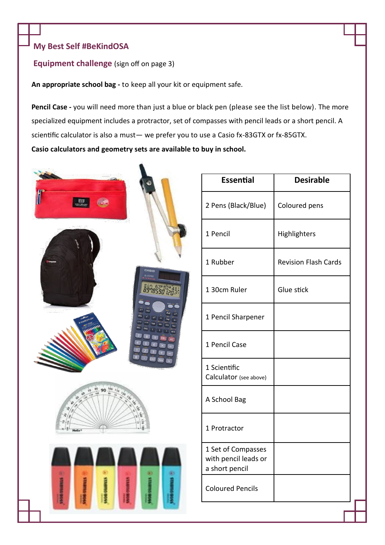### **My Best Self #BeKindOSA**

**Equipment challenge** (sign off on page 3)

**An appropriate school bag -** to keep all your kit or equipment safe.

**Pencil Case -** you will need more than just a blue or black pen (please see the list below). The more specialized equipment includes a protractor, set of compasses with pencil leads or a short pencil. A scientific calculator is also a must— we prefer you to use a Casio fx-83GTX or fx-85GTX.

**Casio calculators and geometry sets are available to buy in school.**



| <b>Essential</b>                                             | <b>Desirable</b>            |
|--------------------------------------------------------------|-----------------------------|
| 2 Pens (Black/Blue)                                          | Coloured pens               |
| 1 Pencil                                                     | Highlighters                |
| 1 Rubber                                                     | <b>Revision Flash Cards</b> |
| 1 30cm Ruler                                                 | Glue stick                  |
| 1 Pencil Sharpener                                           |                             |
| 1 Pencil Case                                                |                             |
| 1 Scientific<br>Calculator (see above)                       |                             |
| A School Bag                                                 |                             |
| 1 Protractor                                                 |                             |
| 1 Set of Compasses<br>with pencil leads or<br>a short pencil |                             |
| <b>Coloured Pencils</b>                                      |                             |
|                                                              |                             |